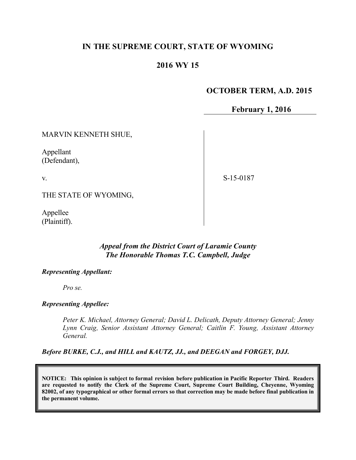## **IN THE SUPREME COURT, STATE OF WYOMING**

# **2016 WY 15**

## **OCTOBER TERM, A.D. 2015**

**February 1, 2016**

MARVIN KENNETH SHUE,

Appellant (Defendant),

v.

S-15-0187

THE STATE OF WYOMING,

Appellee (Plaintiff).

## *Appeal from the District Court of Laramie County The Honorable Thomas T.C. Campbell, Judge*

#### *Representing Appellant:*

*Pro se.*

#### *Representing Appellee:*

*Peter K. Michael, Attorney General; David L. Delicath, Deputy Attorney General; Jenny Lynn Craig, Senior Assistant Attorney General; Caitlin F. Young, Assistant Attorney General.*

*Before BURKE, C.J., and HILL and KAUTZ, JJ., and DEEGAN and FORGEY, DJJ.*

**NOTICE: This opinion is subject to formal revision before publication in Pacific Reporter Third. Readers are requested to notify the Clerk of the Supreme Court, Supreme Court Building, Cheyenne, Wyoming 82002, of any typographical or other formal errors so that correction may be made before final publication in the permanent volume.**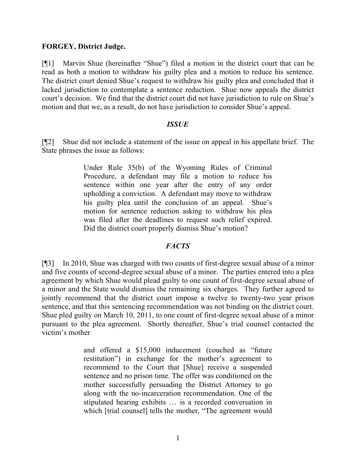#### **FORGEY, District Judge.**

[¶1] Marvin Shue (hereinafter "Shue") filed a motion in the district court that can be read as both a motion to withdraw his guilty plea and a motion to reduce his sentence. The district court denied Shue's request to withdraw his guilty plea and concluded that it lacked jurisdiction to contemplate a sentence reduction. Shue now appeals the district court's decision. We find that the district court did not have jurisdiction to rule on Shue's motion and that we, as a result, do not have jurisdiction to consider Shue's appeal.

#### *ISSUE*

[¶2] Shue did not include a statement of the issue on appeal in his appellate brief. The State phrases the issue as follows:

> Under Rule 35(b) of the Wyoming Rules of Criminal Procedure, a defendant may file a motion to reduce his sentence within one year after the entry of any order upholding a conviction. A defendant may move to withdraw his guilty plea until the conclusion of an appeal. Shue's motion for sentence reduction asking to withdraw his plea was filed after the deadlines to request such relief expired. Did the district court properly dismiss Shue's motion?

## *FACTS*

[¶3] In 2010, Shue was charged with two counts of first-degree sexual abuse of a minor and five counts of second-degree sexual abuse of a minor. The parties entered into a plea agreement by which Shue would plead guilty to one count of first-degree sexual abuse of a minor and the State would dismiss the remaining six charges. They further agreed to jointly recommend that the district court impose a twelve to twenty-two year prison sentence, and that this sentencing recommendation was not binding on the district court. Shue pled guilty on March 10, 2011, to one count of first-degree sexual abuse of a minor pursuant to the plea agreement. Shortly thereafter, Shue's trial counsel contacted the victim's mother

> and offered a \$15,000 inducement (couched as "future restitution") in exchange for the mother's agreement to recommend to the Court that [Shue] receive a suspended sentence and no prison time. The offer was conditioned on the mother successfully persuading the District Attorney to go along with the no-incarceration recommendation. One of the stipulated hearing exhibits … is a recorded conversation in which [trial counsel] tells the mother, "The agreement would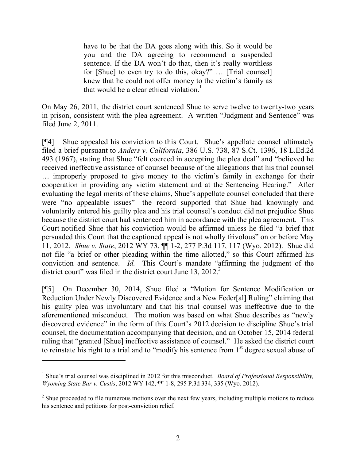have to be that the DA goes along with this. So it would be you and the DA agreeing to recommend a suspended sentence. If the DA won't do that, then it's really worthless for [Shue] to even try to do this, okay?" … [Trial counsel] knew that he could not offer money to the victim's family as that would be a clear ethical violation.<sup>1</sup>

On May 26, 2011, the district court sentenced Shue to serve twelve to twenty-two years in prison, consistent with the plea agreement. A written "Judgment and Sentence" was filed June 2, 2011.

[¶4] Shue appealed his conviction to this Court. Shue's appellate counsel ultimately filed a brief pursuant to *Anders v. California*, 386 U.S. 738, 87 S.Ct. 1396, 18 L.Ed.2d 493 (1967), stating that Shue "felt coerced in accepting the plea deal" and "believed he received ineffective assistance of counsel because of the allegations that his trial counsel … improperly proposed to give money to the victim's family in exchange for their cooperation in providing any victim statement and at the Sentencing Hearing." After evaluating the legal merits of these claims, Shue's appellate counsel concluded that there were "no appealable issues"—the record supported that Shue had knowingly and voluntarily entered his guilty plea and his trial counsel's conduct did not prejudice Shue because the district court had sentenced him in accordance with the plea agreement. This Court notified Shue that his conviction would be affirmed unless he filed "a brief that persuaded this Court that the captioned appeal is not wholly frivolous" on or before May 11, 2012. *Shue v. State*, 2012 WY 73, ¶¶ 1-2, 277 P.3d 117, 117 (Wyo. 2012). Shue did not file "a brief or other pleading within the time allotted," so this Court affirmed his conviction and sentence. *Id.* This Court's mandate "affirming the judgment of the district court" was filed in the district court June 13,  $2012<sup>2</sup>$ 

[¶5] On December 30, 2014, Shue filed a "Motion for Sentence Modification or Reduction Under Newly Discovered Evidence and a New Feder[al] Ruling" claiming that his guilty plea was involuntary and that his trial counsel was ineffective due to the aforementioned misconduct. The motion was based on what Shue describes as "newly discovered evidence" in the form of this Court's 2012 decision to discipline Shue's trial counsel, the documentation accompanying that decision, and an October 15, 2014 federal ruling that "granted [Shue] ineffective assistance of counsel." He asked the district court to reinstate his right to a trial and to "modify his sentence from 1<sup>st</sup> degree sexual abuse of

<sup>&</sup>lt;sup>1</sup> Shue's trial counsel was disciplined in 2012 for this misconduct. *Board of Professional Responsibility*, *Wyoming State Bar v. Custis*, 2012 WY 142, ¶¶ 1-8, 295 P.3d 334, 335 (Wyo. 2012).

 $2^2$  Shue proceeded to file numerous motions over the next few years, including multiple motions to reduce his sentence and petitions for post-conviction relief.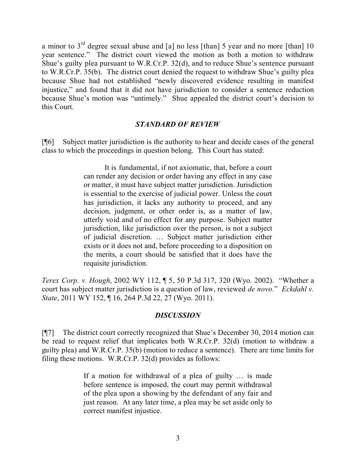a minor to  $3<sup>rd</sup>$  degree sexual abuse and [a] no less [than] 5 year and no more [than] 10 year sentence." The district court viewed the motion as both a motion to withdraw Shue's guilty plea pursuant to W.R.Cr.P. 32(d), and to reduce Shue's sentence pursuant to W.R.Cr.P. 35(b). The district court denied the request to withdraw Shue's guilty plea because Shue had not established "newly discovered evidence resulting in manifest injustice," and found that it did not have jurisdiction to consider a sentence reduction because Shue's motion was "untimely." Shue appealed the district court's decision to this Court.

## *STANDARD OF REVIEW*

[¶6] Subject matter jurisdiction is the authority to hear and decide cases of the general class to which the proceedings in question belong. This Court has stated:

> It is fundamental, if not axiomatic, that, before a court can render any decision or order having any effect in any case or matter, it must have subject matter jurisdiction. Jurisdiction is essential to the exercise of judicial power. Unless the court has jurisdiction, it lacks any authority to proceed, and any decision, judgment, or other order is, as a matter of law, utterly void and of no effect for any purpose. Subject matter jurisdiction, like jurisdiction over the person, is not a subject of judicial discretion. … Subject matter jurisdiction either exists or it does not and, before proceeding to a disposition on the merits, a court should be satisfied that it does have the requisite jurisdiction.

*Terex Corp. v. Hough*, 2002 WY 112, ¶ 5, 50 P.3d 317, 320 (Wyo. 2002). "Whether a court has subject matter jurisdiction is a question of law, reviewed *de novo.*" *Eckdahl v. State*, 2011 WY 152, ¶ 16, 264 P.3d 22, 27 (Wyo. 2011).

#### *DISCUSSION*

[¶7] The district court correctly recognized that Shue's December 30, 2014 motion can be read to request relief that implicates both W.R.Cr.P. 32(d) (motion to withdraw a guilty plea) and W.R.Cr.P. 35(b) (motion to reduce a sentence). There are time limits for filing these motions. W.R.Cr.P. 32(d) provides as follows:

> If a motion for withdrawal of a plea of guilty … is made before sentence is imposed, the court may permit withdrawal of the plea upon a showing by the defendant of any fair and just reason. At any later time, a plea may be set aside only to correct manifest injustice.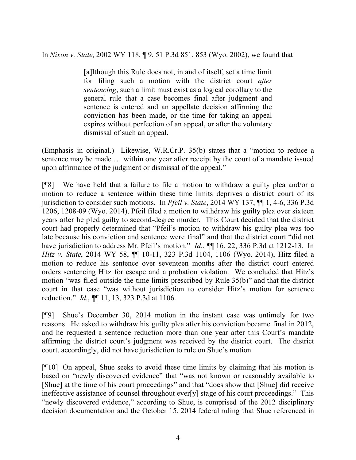In *Nixon v. State*, 2002 WY 118, ¶ 9, 51 P.3d 851, 853 (Wyo. 2002), we found that

[a]lthough this Rule does not, in and of itself, set a time limit for filing such a motion with the district court *after sentencing*, such a limit must exist as a logical corollary to the general rule that a case becomes final after judgment and sentence is entered and an appellate decision affirming the conviction has been made, or the time for taking an appeal expires without perfection of an appeal, or after the voluntary dismissal of such an appeal.

(Emphasis in original.) Likewise, W.R.Cr.P. 35(b) states that a "motion to reduce a sentence may be made … within one year after receipt by the court of a mandate issued upon affirmance of the judgment or dismissal of the appeal."

[¶8] We have held that a failure to file a motion to withdraw a guilty plea and/or a motion to reduce a sentence within these time limits deprives a district court of its jurisdiction to consider such motions. In *Pfeil v. State*, 2014 WY 137, ¶¶ 1, 4-6, 336 P.3d 1206, 1208-09 (Wyo. 2014), Pfeil filed a motion to withdraw his guilty plea over sixteen years after he pled guilty to second-degree murder. This Court decided that the district court had properly determined that "Pfeil's motion to withdraw his guilty plea was too late because his conviction and sentence were final" and that the district court "did not have jurisdiction to address Mr. Pfeil's motion." *Id.*, **[1]** 16, 22, 336 P.3d at 1212-13. In *Hitz v. State*, 2014 WY 58, ¶¶ 10-11, 323 P.3d 1104, 1106 (Wyo. 2014), Hitz filed a motion to reduce his sentence over seventeen months after the district court entered orders sentencing Hitz for escape and a probation violation. We concluded that Hitz's motion "was filed outside the time limits prescribed by Rule 35(b)" and that the district court in that case "was without jurisdiction to consider Hitz's motion for sentence reduction." *Id.*, ¶¶ 11, 13, 323 P.3d at 1106.

[¶9] Shue's December 30, 2014 motion in the instant case was untimely for two reasons. He asked to withdraw his guilty plea after his conviction became final in 2012, and he requested a sentence reduction more than one year after this Court's mandate affirming the district court's judgment was received by the district court. The district court, accordingly, did not have jurisdiction to rule on Shue's motion.

[¶10] On appeal, Shue seeks to avoid these time limits by claiming that his motion is based on "newly discovered evidence" that "was not known or reasonably available to [Shue] at the time of his court proceedings" and that "does show that [Shue] did receive ineffective assistance of counsel throughout ever[y] stage of his court proceedings." This "newly discovered evidence," according to Shue, is comprised of the 2012 disciplinary decision documentation and the October 15, 2014 federal ruling that Shue referenced in